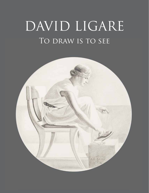## TO DRAW IS TO SEE DAVID LIGARE

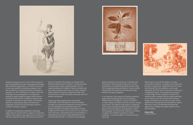Ligare's drawing of a young man in a complex pose that relies on the balancing of staff, arms, and one straight leg is accomplished primarily by tonal range. The contrasting shadows and light on his skin and the flowing folds of his garment are achieved through definitive handling of graphite.

In an indication of his esteem for Classical aesthetics, Ligare often incorporates text into his drawings. Another work in ink depicts a rock arch, bordered on three sides by the Italian words for structure, surface, and content. The stability of the subject, its depiction, and its visual message exemplify the ancient tripartite ideals of harmony, balance, and proportion. United with language, it's a theme that underlies the majority of Ligare's work. Whether portraiture, still life, landscape, or narrative subject, it's clear that his eye sees truly.



favors for traveling. The selection on display at the Winfield Gallery reveals his facility in a range of media, including Conté crayon, graphite, pastel, and ink. Ligare's preference for shades of browns and dark reds plus white and black, and his use of toned or textured papers reflects his interest in historical models, and connects him to modes and ideals of the past, which he studies and admires.

Ligare's gem-like pastoral scenes of the Italian countryside, often with figures or historic buildings included, act as personal mementos of annual sojourns. In an ink landscape, his assured line picks out a foreground figure, the sweep of the stream, a simple bridge and the remains of an ancient ruin. He unites the scene with trees, enlivened by short curving strokes—a sophisticated composition made lighthearted by his command with the pen. In contrast to the landscape,

David Ligare is currently the subject of a major retrospective exhibition on display at the Crocker Art Museum in Sacramento. Organized by Chief Curator Scott Shields, PhD, the exhibition runs through September 20, 2015 at the Crocker then continues on to additional venues. The retrospective consists of a broad range of work including a number of his exquisite works on paper. Because Ligare's paintings are so striking, much of this other work had been largely overlooked until now. But once seen, these rediscovered drawings become impossible to ignore. With this in mind, Chris Winfield has seized the opportunity to display this superb selection at his Carmel Gallery.

Helaine Glick Curatorial Advisor





Drawing is the bones of art; it acts as the structure on which all embellishment rests. As prestigious Monterey Bay artist David Ligare puts it, "to draw is to see, and to look very carefully at something, analyze it, and then recreate it is an important activity in drawing, in painting, or in life." Working from models or from the landscape, from photographs or his imagination, drawing is clearly integral to Ligare's artistic practice. At the Art Center School in Pasadena where he was a student, he learned to make a series of thumbnail sketches to help develop ideas and exercise his imagination. He still uses this technique, which he considers "thinking on paper."

In addition to preparatory drawings for paintings, Ligare draws to see the look of a subject in a particular medium. One medium may capture him for a time, or it may suit a particular situation, like the pen and ink he